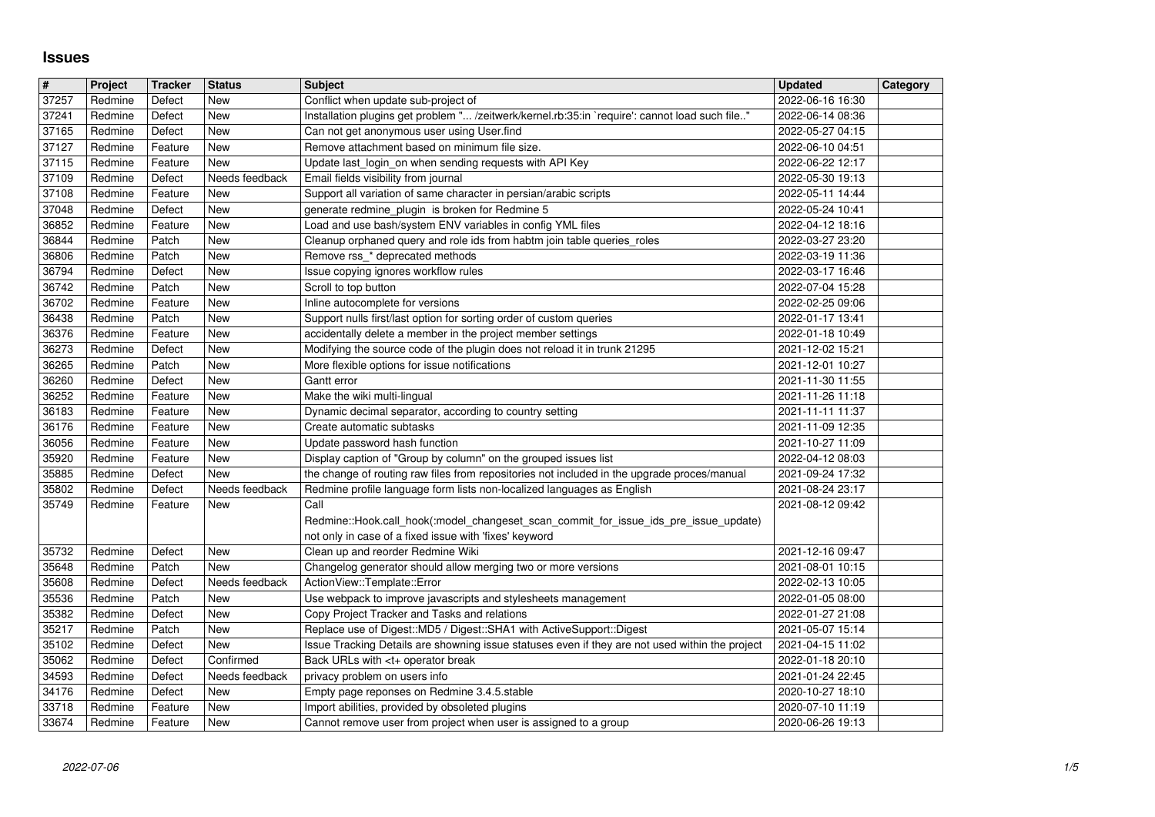## **Issues**

| $\overline{\mathbf{H}}$ | Project            | <b>Tracker</b>     | <b>Status</b>         | <b>Subject</b>                                                                                                                                                                                                 | <b>Updated</b>                       | <b>Category</b> |
|-------------------------|--------------------|--------------------|-----------------------|----------------------------------------------------------------------------------------------------------------------------------------------------------------------------------------------------------------|--------------------------------------|-----------------|
| 37257<br>37241          | Redmine<br>Redmine | Defect<br>Defect   | New<br>New            | Conflict when update sub-project of<br>Installation plugins get problem " /zeitwerk/kernel.rb:35:in `require': cannot load such file"                                                                          | 2022-06-16 16:30<br>2022-06-14 08:36 |                 |
| 37165                   | Redmine            | Defect             | <b>New</b>            | Can not get anonymous user using User.find                                                                                                                                                                     | 2022-05-27 04:15                     |                 |
| 37127                   | Redmine            | Feature            | New                   | Remove attachment based on minimum file size.                                                                                                                                                                  | 2022-06-10 04:51                     |                 |
| 37115<br>37109          | Redmine<br>Redmine | Feature<br>Defect  | New<br>Needs feedback | Update last_login_on when sending requests with API Key<br>Email fields visibility from journal                                                                                                                | 2022-06-22 12:17<br>2022-05-30 19:13 |                 |
| 37108                   | Redmine            | Feature            | New                   | Support all variation of same character in persian/arabic scripts                                                                                                                                              | 2022-05-11 14:44                     |                 |
| 37048                   | Redmine            | Defect             | New                   | generate redmine_plugin is broken for Redmine 5                                                                                                                                                                | 2022-05-24 10:41                     |                 |
| 36852<br>36844          | Redmine<br>Redmine | Feature<br>Patch   | New<br>New            | Load and use bash/system ENV variables in config YML files<br>Cleanup orphaned query and role ids from habtm join table queries_roles                                                                          | 2022-04-12 18:16<br>2022-03-27 23:20 |                 |
| 36806                   | Redmine            | Patch              | New                   | Remove rss_* deprecated methods                                                                                                                                                                                | 2022-03-19 11:36                     |                 |
| 36794                   | Redmine            | Defect             | <b>New</b>            | Issue copying ignores workflow rules                                                                                                                                                                           | 2022-03-17 16:46                     |                 |
| 36742                   | Redmine            | Patch              | New                   | Scroll to top button                                                                                                                                                                                           | 2022-07-04 15:28                     |                 |
| 36702<br>36438          | Redmine<br>Redmine | Feature<br>Patch   | <b>New</b><br>New     | Inline autocomplete for versions<br>Support nulls first/last option for sorting order of custom queries                                                                                                        | 2022-02-25 09:06<br>2022-01-17 13:41 |                 |
| 36376                   | Redmine            | Feature            | New                   | accidentally delete a member in the project member settings                                                                                                                                                    | 2022-01-18 10:49                     |                 |
| 36273                   | Redmine            | Defect             | New                   | Modifying the source code of the plugin does not reload it in trunk 21295                                                                                                                                      | 2021-12-02 15:21                     |                 |
| 36265<br>36260          | Redmine<br>Redmine | Patch<br>Defect    | New<br>New            | More flexible options for issue notifications<br>Gantt error                                                                                                                                                   | 2021-12-01 10:27<br>2021-11-30 11:55 |                 |
| 36252                   | Redmine            | Feature            | New                   | Make the wiki multi-lingual                                                                                                                                                                                    | 2021-11-26 11:18                     |                 |
| 36183                   | Redmine            | Feature            | <b>New</b>            | Dynamic decimal separator, according to country setting                                                                                                                                                        | 2021-11-11 11:37                     |                 |
| 36176<br>36056          | Redmine<br>Redmine | Feature<br>Feature | <b>New</b><br>New     | Create automatic subtasks<br>Update password hash function                                                                                                                                                     | 2021-11-09 12:35<br>2021-10-27 11:09 |                 |
| 35920                   | Redmine            | Feature            | New                   | Display caption of "Group by column" on the grouped issues list                                                                                                                                                | 2022-04-12 08:03                     |                 |
| 35885                   | Redmine            | Defect             | New                   | the change of routing raw files from repositories not included in the upgrade proces/manual                                                                                                                    | 2021-09-24 17:32                     |                 |
| 35802                   | Redmine            | Defect             | Needs feedback        | Redmine profile language form lists non-localized languages as English                                                                                                                                         | 2021-08-24 23:17                     |                 |
| 35749                   | Redmine            | Feature            | New                   | Call<br>Redmine::Hook.call_hook(:model_changeset_scan_commit_for_issue_ids_pre_issue_update)                                                                                                                   | 2021-08-12 09:42                     |                 |
|                         |                    |                    |                       | not only in case of a fixed issue with 'fixes' keyword                                                                                                                                                         |                                      |                 |
| 35732                   | Redmine            | Defect             | New                   | Clean up and reorder Redmine Wiki                                                                                                                                                                              | 2021-12-16 09:47                     |                 |
| 35648<br>35608          | Redmine<br>Redmine | Patch<br>Defect    | New<br>Needs feedback | Changelog generator should allow merging two or more versions<br>ActionView::Template::Error                                                                                                                   | 2021-08-01 10:15<br>2022-02-13 10:05 |                 |
| 35536                   | Redmine            | Patch              | New                   | Use webpack to improve javascripts and stylesheets management                                                                                                                                                  | 2022-01-05 08:00                     |                 |
| 35382                   | Redmine            | Defect             | New                   | Copy Project Tracker and Tasks and relations                                                                                                                                                                   | 2022-01-27 21:08                     |                 |
| 35217                   | Redmine            | Patch              | New                   | Replace use of Digest::MD5 / Digest::SHA1 with ActiveSupport::Digest                                                                                                                                           | 2021-05-07 15:14                     |                 |
| 35102<br>35062          | Redmine<br>Redmine | Defect<br>Defect   | New<br>Confirmed      | Issue Tracking Details are showning issue statuses even if they are not used within the project<br>Back URLs with <t+ break<="" operator="" td=""><td>2021-04-15 11:02<br/>2022-01-18 20:10</td><td></td></t+> | 2021-04-15 11:02<br>2022-01-18 20:10 |                 |
| 34593                   | Redmine            | Defect             | Needs feedback        | privacy problem on users info                                                                                                                                                                                  | 2021-01-24 22:45                     |                 |
| 34176                   | Redmine            | Defect             | New                   | Empty page reponses on Redmine 3.4.5.stable                                                                                                                                                                    | 2020-10-27 18:10                     |                 |
| 33718<br>33674          | Redmine<br>Redmine | Feature<br>Feature | New<br>New            | Import abilities, provided by obsoleted plugins<br>Cannot remove user from project when user is assigned to a group                                                                                            | 2020-07-10 11:19<br>2020-06-26 19:13 |                 |
|                         |                    |                    |                       |                                                                                                                                                                                                                |                                      |                 |
|                         |                    |                    |                       |                                                                                                                                                                                                                |                                      |                 |
|                         |                    |                    |                       |                                                                                                                                                                                                                |                                      |                 |
|                         |                    |                    |                       |                                                                                                                                                                                                                |                                      |                 |
|                         |                    |                    |                       |                                                                                                                                                                                                                |                                      |                 |
|                         |                    |                    |                       |                                                                                                                                                                                                                |                                      |                 |
|                         |                    |                    |                       |                                                                                                                                                                                                                |                                      |                 |
|                         |                    |                    |                       |                                                                                                                                                                                                                |                                      |                 |
|                         |                    |                    |                       |                                                                                                                                                                                                                |                                      |                 |
|                         |                    |                    |                       |                                                                                                                                                                                                                |                                      |                 |
|                         |                    |                    |                       |                                                                                                                                                                                                                |                                      |                 |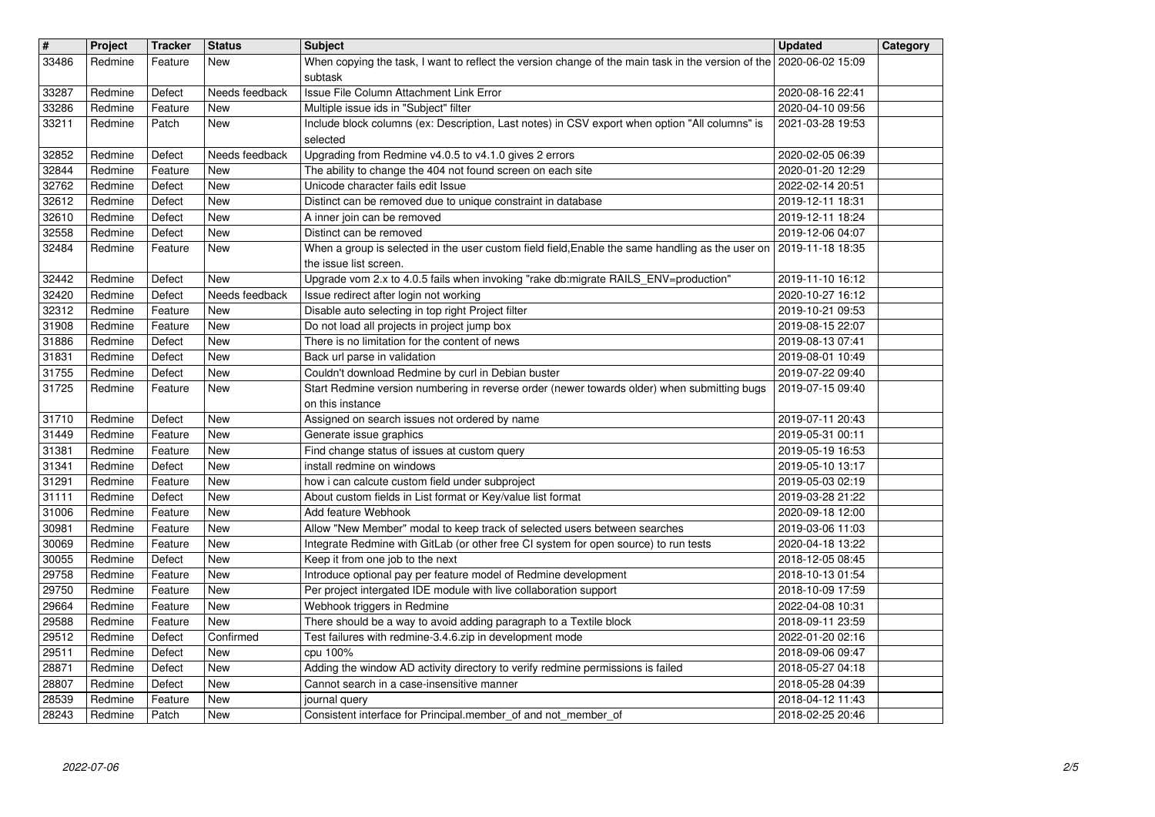| $\overline{\mathbf{H}}$<br>33486 | Project<br>Redmine | <b>Tracker</b><br>Feature | <b>Status</b><br>New         | <b>Subject</b><br>When copying the task, I want to reflect the version change of the main task in the version of the 2020-06-02 15:09        | <b>Updated</b>                       | Category |
|----------------------------------|--------------------|---------------------------|------------------------------|----------------------------------------------------------------------------------------------------------------------------------------------|--------------------------------------|----------|
| 33287                            | Redmine            | Defect                    | Needs feedback               | subtask<br>Issue File Column Attachment Link Error                                                                                           | 2020-08-16 22:41                     |          |
| 33286                            | Redmine            | Feature                   | <b>New</b>                   | Multiple issue ids in "Subject" filter                                                                                                       | 2020-04-10 09:56                     |          |
| 33211                            | Redmine            | Patch                     | <b>New</b>                   | Include block columns (ex: Description, Last notes) in CSV export when option "All columns" is<br>selected                                   | 2021-03-28 19:53                     |          |
| 32852<br>32844                   | Redmine<br>Redmine | Defect<br>Feature         | Needs feedback<br><b>New</b> | Upgrading from Redmine v4.0.5 to v4.1.0 gives 2 errors<br>The ability to change the 404 not found screen on each site                        | 2020-02-05 06:39<br>2020-01-20 12:29 |          |
| 32762                            | Redmine            | Defect                    | <b>New</b>                   | Unicode character fails edit Issue                                                                                                           | 2022-02-14 20:51                     |          |
| 32612<br>32610                   | Redmine<br>Redmine | Defect<br>Defect          | <b>New</b><br><b>New</b>     | Distinct can be removed due to unique constraint in database<br>A inner join can be removed                                                  | 2019-12-11 18:31<br>2019-12-11 18:24 |          |
| 32558<br>32484                   | Redmine<br>Redmine | Defect<br>Feature         | <b>New</b><br>New            | Distinct can be removed<br>When a group is selected in the user custom field field, Enable the same handling as the user on 2019-11-18 18:35 | 2019-12-06 04:07                     |          |
| 32442                            | Redmine            | Defect                    | <b>New</b>                   | the issue list screen.<br>Upgrade vom 2.x to 4.0.5 fails when invoking "rake db:migrate RAILS_ENV=production"                                | 2019-11-10 16:12                     |          |
| 32420                            | Redmine            | Defect                    | Needs feedback               | Issue redirect after login not working                                                                                                       | 2020-10-27 16:12                     |          |
| 32312<br>31908                   | Redmine<br>Redmine | Feature<br>Feature        | New<br><b>New</b>            | Disable auto selecting in top right Project filter<br>Do not load all projects in project jump box                                           | 2019-10-21 09:53<br>2019-08-15 22:07 |          |
| 31886<br>31831                   | Redmine<br>Redmine | Defect<br>Defect          | <b>New</b><br><b>New</b>     | There is no limitation for the content of news<br>Back url parse in validation                                                               | 2019-08-13 07:41<br>2019-08-01 10:49 |          |
| 31755                            | Redmine            | Defect                    | <b>New</b>                   | Couldn't download Redmine by curl in Debian buster                                                                                           | 2019-07-22 09:40                     |          |
| 31725                            | Redmine            | Feature                   | New                          | Start Redmine version numbering in reverse order (newer towards older) when submitting bugs<br>on this instance                              | 2019-07-15 09:40                     |          |
| 31710<br>31449                   | Redmine<br>Redmine | Defect<br>Feature         | <b>New</b><br>New            | Assigned on search issues not ordered by name<br>Generate issue graphics                                                                     | 2019-07-11 20:43<br>2019-05-31 00:11 |          |
| 31381                            | Redmine            | Feature                   | <b>New</b>                   | Find change status of issues at custom query                                                                                                 | 2019-05-19 16:53                     |          |
| 31341<br>31291                   | Redmine<br>Redmine | Defect<br>Feature         | <b>New</b><br><b>New</b>     | install redmine on windows<br>how i can calcute custom field under subproject                                                                | 2019-05-10 13:17<br>2019-05-03 02:19 |          |
| 31111<br>31006                   | Redmine<br>Redmine | Defect<br>Feature         | <b>New</b><br><b>New</b>     | About custom fields in List format or Key/value list format<br>Add feature Webhook                                                           | 2019-03-28 21:22<br>2020-09-18 12:00 |          |
| 30981                            | Redmine            | Feature                   | <b>New</b>                   | Allow "New Member" modal to keep track of selected users between searches                                                                    | 2019-03-06 11:03                     |          |
| 30069<br>30055                   | Redmine<br>Redmine | Feature<br>Defect         | <b>New</b><br><b>New</b>     | Integrate Redmine with GitLab (or other free CI system for open source) to run tests<br>Keep it from one job to the next                     | 2020-04-18 13:22<br>2018-12-05 08:45 |          |
| 29758<br>29750                   | Redmine<br>Redmine | Feature<br>Feature        | <b>New</b><br><b>New</b>     | Introduce optional pay per feature model of Redmine development<br>Per project intergated IDE module with live collaboration support         | 2018-10-13 01:54<br>2018-10-09 17:59 |          |
| 29664                            | Redmine            | Feature                   | New                          | Webhook triggers in Redmine                                                                                                                  | 2022-04-08 10:31                     |          |
| 29588<br>29512                   | Redmine<br>Redmine | Feature<br>Defect         | <b>New</b><br>Confirmed      | There should be a way to avoid adding paragraph to a Textile block<br>Test failures with redmine-3.4.6.zip in development mode               | 2018-09-11 23:59<br>2022-01-20 02:16 |          |
| 29511<br>28871                   | Redmine<br>Redmine | Defect<br>Defect          | New<br>New                   | cpu 100%<br>Adding the window AD activity directory to verify redmine permissions is failed                                                  | 2018-09-06 09:47<br>2018-05-27 04:18 |          |
| 28807                            | Redmine            | Defect                    | New                          | Cannot search in a case-insensitive manner                                                                                                   | 2018-05-28 04:39                     |          |
| 28539<br>28243                   | Redmine<br>Redmine | Feature<br>Patch          | New<br>New                   | journal query<br>Consistent interface for Principal.member_of and not_member_of                                                              | 2018-04-12 11:43<br>2018-02-25 20:46 |          |
|                                  |                    |                           |                              |                                                                                                                                              |                                      |          |
|                                  |                    |                           |                              |                                                                                                                                              |                                      |          |
|                                  |                    |                           |                              |                                                                                                                                              |                                      |          |
|                                  |                    |                           |                              |                                                                                                                                              |                                      |          |
|                                  |                    |                           |                              |                                                                                                                                              |                                      |          |
|                                  |                    |                           |                              |                                                                                                                                              |                                      |          |
|                                  |                    |                           |                              |                                                                                                                                              |                                      |          |
|                                  |                    |                           |                              |                                                                                                                                              |                                      |          |
|                                  |                    |                           |                              |                                                                                                                                              |                                      |          |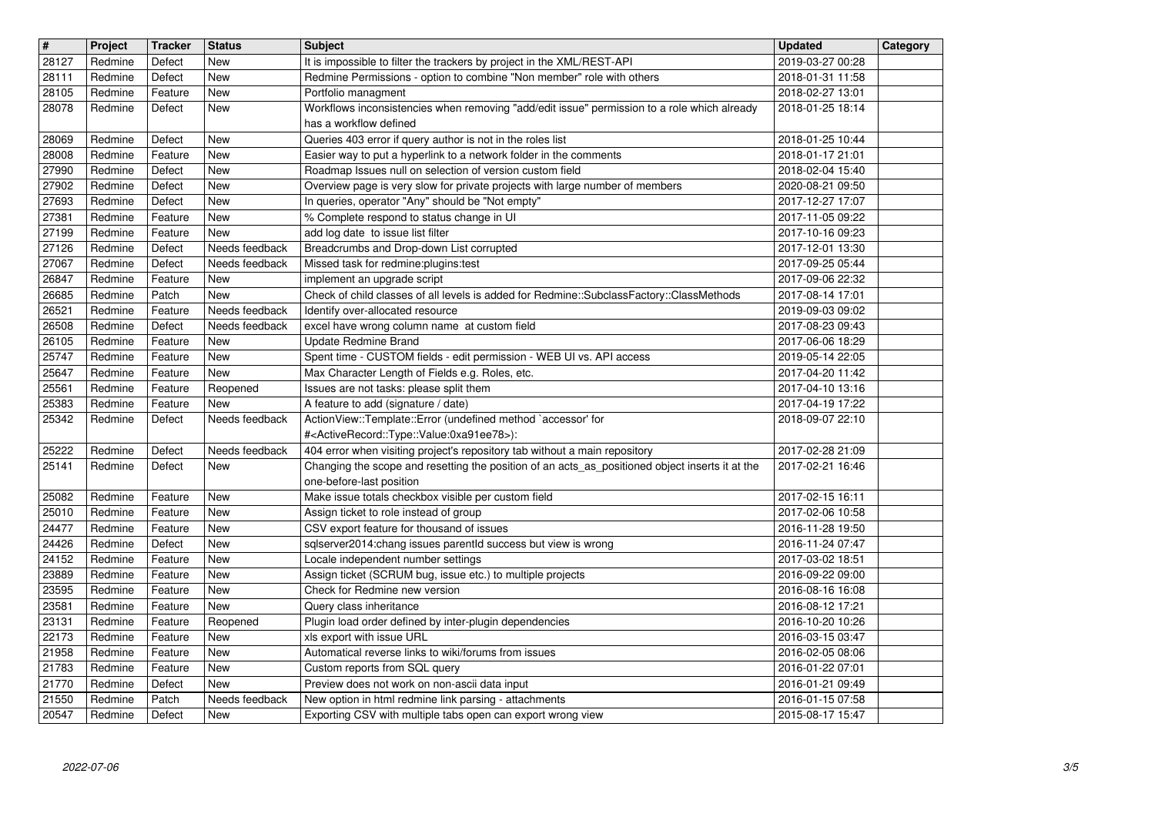| $\overline{\mathbf{H}}$ | Project            | <b>Tracker</b>     | <b>Status</b>            | <b>Subject</b>                                                                                                                                  | <b>Updated</b>                       | Category |
|-------------------------|--------------------|--------------------|--------------------------|-------------------------------------------------------------------------------------------------------------------------------------------------|--------------------------------------|----------|
| 28127                   | Redmine            | Defect             | <b>New</b>               | It is impossible to filter the trackers by project in the XML/REST-API                                                                          | 2019-03-27 00:28                     |          |
| 28111<br>28105          | Redmine<br>Redmine | Defect<br>Feature  | <b>New</b><br><b>New</b> | Redmine Permissions - option to combine "Non member" role with others<br>Portfolio managment                                                    | 2018-01-31 11:58<br>2018-02-27 13:01 |          |
| 28078                   | Redmine            | Defect             | <b>New</b>               | Workflows inconsistencies when removing "add/edit issue" permission to a role which already                                                     | 2018-01-25 18:14                     |          |
|                         |                    |                    |                          | has a workflow defined                                                                                                                          |                                      |          |
| 28069<br>28008          | Redmine<br>Redmine | Defect<br>Feature  | <b>New</b><br>New        | Queries 403 error if query author is not in the roles list<br>Easier way to put a hyperlink to a network folder in the comments                 | 2018-01-25 10:44<br>2018-01-17 21:01 |          |
| 27990                   | Redmine            | Defect             | New                      | Roadmap Issues null on selection of version custom field                                                                                        | 2018-02-04 15:40                     |          |
| 27902                   | Redmine            | Defect             | New                      | Overview page is very slow for private projects with large number of members                                                                    | 2020-08-21 09:50                     |          |
| 27693<br>27381          | Redmine<br>Redmine | Defect<br>Feature  | <b>New</b><br>New        | In queries, operator "Any" should be "Not empty"<br>% Complete respond to status change in UI                                                   | 2017-12-27 17:07<br>2017-11-05 09:22 |          |
| 27199                   | Redmine            | Feature            | New                      | add log date to issue list filter                                                                                                               | 2017-10-16 09:23                     |          |
| 27126                   | Redmine            | Defect             | Needs feedback           | Breadcrumbs and Drop-down List corrupted                                                                                                        | 2017-12-01 13:30                     |          |
| 27067<br>26847          | Redmine<br>Redmine | Defect<br>Feature  | Needs feedback<br>New    | Missed task for redmine: plugins: test<br>implement an upgrade script                                                                           | 2017-09-25 05:44<br>2017-09-06 22:32 |          |
| 26685                   | Redmine            | Patch              | New                      | Check of child classes of all levels is added for Redmine::SubclassFactory::ClassMethods                                                        | 2017-08-14 17:01                     |          |
| 26521                   | Redmine            | Feature            | Needs feedback           | Identify over-allocated resource                                                                                                                | 2019-09-03 09:02                     |          |
| 26508<br>26105          | Redmine<br>Redmine | Defect<br>Feature  | Needs feedback<br>New    | excel have wrong column name at custom field<br>Update Redmine Brand                                                                            | 2017-08-23 09:43<br>2017-06-06 18:29 |          |
| 25747                   | Redmine            | Feature            | New                      | Spent time - CUSTOM fields - edit permission - WEB UI vs. API access                                                                            | 2019-05-14 22:05                     |          |
| 25647<br>25561          | Redmine<br>Redmine | Feature<br>Feature | New<br>Reopened          | Max Character Length of Fields e.g. Roles, etc.<br>Issues are not tasks: please split them                                                      | 2017-04-20 11:42<br>2017-04-10 13:16 |          |
| 25383                   | Redmine            | Feature            | New                      | A feature to add (signature / date)                                                                                                             | 2017-04-19 17:22                     |          |
| 25342                   | Redmine            | Defect             | Needs feedback           | ActionView::Template::Error (undefined method `accessor' for<br># <activerecord::type::value:0xa91ee78>):</activerecord::type::value:0xa91ee78> | 2018-09-07 22:10                     |          |
| 25222                   | Redmine            | Defect             | Needs feedback           | 404 error when visiting project's repository tab without a main repository                                                                      | 2017-02-28 21:09                     |          |
| 25141                   | Redmine            | Defect             | New                      | Changing the scope and resetting the position of an acts_as_positioned object inserts it at the<br>one-before-last position                     | 2017-02-21 16:46                     |          |
| 25082                   | Redmine            | Feature            | <b>New</b>               | Make issue totals checkbox visible per custom field                                                                                             | 2017-02-15 16:11                     |          |
| 25010                   | Redmine            | Feature            | <b>New</b>               | Assign ticket to role instead of group                                                                                                          | 2017-02-06 10:58                     |          |
| 24477<br>24426          | Redmine<br>Redmine | Feature<br>Defect  | New<br>New               | CSV export feature for thousand of issues<br>sqlserver2014:chang issues parentld success but view is wrong                                      | 2016-11-28 19:50<br>2016-11-24 07:47 |          |
| 24152                   | Redmine            | Feature            | New                      | Locale independent number settings                                                                                                              | 2017-03-02 18:51                     |          |
| 23889<br>23595          | Redmine<br>Redmine | Feature<br>Feature | New<br>New               | Assign ticket (SCRUM bug, issue etc.) to multiple projects<br>Check for Redmine new version                                                     | 2016-09-22 09:00<br>2016-08-16 16:08 |          |
| 23581                   | Redmine            | Feature            | New                      | Query class inheritance                                                                                                                         | 2016-08-12 17:21                     |          |
| 23131                   | Redmine            | Feature            | Reopened                 | Plugin load order defined by inter-plugin dependencies                                                                                          | 2016-10-20 10:26                     |          |
| 22173<br>21958          | Redmine<br>Redmine | Feature<br>Feature | New<br>New               | xls export with issue URL<br>Automatical reverse links to wiki/forums from issues                                                               | 2016-03-15 03:47<br>2016-02-05 08:06 |          |
| 21783                   | Redmine            | Feature            | New                      | Custom reports from SQL query                                                                                                                   | 2016-01-22 07:01                     |          |
| 21770<br>$\sqrt{21550}$ | Redmine<br>Redmine | Defect<br>Patch    | New<br>Needs feedback    | Preview does not work on non-ascii data input<br>New option in html redmine link parsing - attachments                                          | 2016-01-21 09:49<br>2016-01-15 07:58 |          |
| 20547                   | Redmine            | Defect             | New                      | Exporting CSV with multiple tabs open can export wrong view                                                                                     | 2015-08-17 15:47                     |          |
|                         |                    |                    |                          |                                                                                                                                                 |                                      |          |
|                         |                    |                    |                          |                                                                                                                                                 |                                      |          |
|                         |                    |                    |                          |                                                                                                                                                 |                                      |          |
|                         |                    |                    |                          |                                                                                                                                                 |                                      |          |
|                         |                    |                    |                          |                                                                                                                                                 |                                      |          |
|                         |                    |                    |                          |                                                                                                                                                 |                                      |          |
|                         |                    |                    |                          |                                                                                                                                                 |                                      |          |
|                         |                    |                    |                          |                                                                                                                                                 |                                      |          |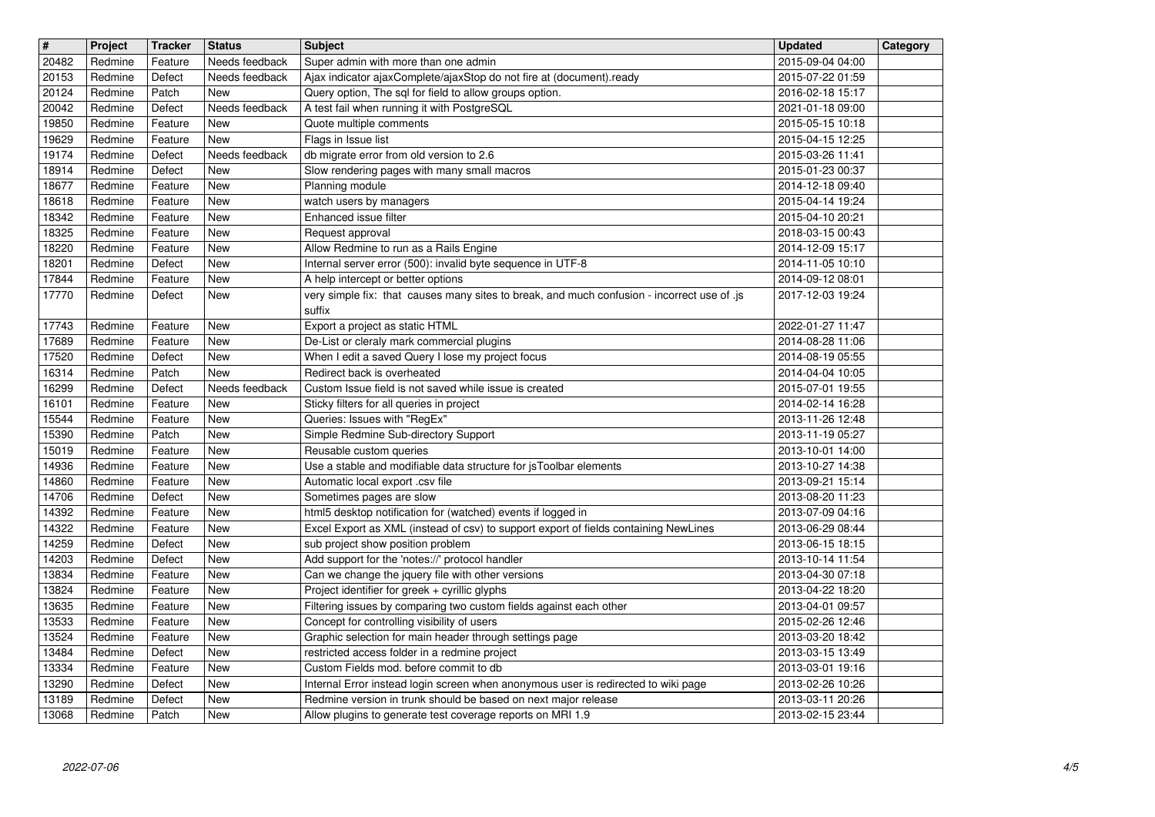| $\overline{\mathbf{H}}$ | Project            | <b>Tracker</b>     | <b>Status</b>                    | <b>Subject</b>                                                                                                               | <b>Updated</b>                       | Category |
|-------------------------|--------------------|--------------------|----------------------------------|------------------------------------------------------------------------------------------------------------------------------|--------------------------------------|----------|
| 20482<br>20153          | Redmine<br>Redmine | Feature<br>Defect  | Needs feedback<br>Needs feedback | Super admin with more than one admin<br>Ajax indicator ajaxComplete/ajaxStop do not fire at (document).ready                 | 2015-09-04 04:00<br>2015-07-22 01:59 |          |
| 20124                   | Redmine<br>Redmine | Patch              | New<br>Needs feedback            | Query option, The sql for field to allow groups option.<br>A test fail when running it with PostgreSQL                       | 2016-02-18 15:17                     |          |
| 20042<br>19850          | Redmine            | Defect<br>Feature  | New                              | Quote multiple comments                                                                                                      | 2021-01-18 09:00<br>2015-05-15 10:18 |          |
| 19629<br>19174          | Redmine<br>Redmine | Feature<br>Defect  | <b>New</b><br>Needs feedback     | Flags in Issue list<br>db migrate error from old version to 2.6                                                              | 2015-04-15 12:25<br>2015-03-26 11:41 |          |
| 18914                   | Redmine            | Defect             | <b>New</b>                       | Slow rendering pages with many small macros                                                                                  | 2015-01-23 00:37                     |          |
| 18677                   | Redmine            | Feature            | <b>New</b>                       | <b>Planning module</b>                                                                                                       | 2014-12-18 09:40                     |          |
| 18618<br>18342          | Redmine<br>Redmine | Feature<br>Feature | <b>New</b><br><b>New</b>         | watch users by managers<br>Enhanced issue filter                                                                             | 2015-04-14 19:24<br>2015-04-10 20:21 |          |
| 18325                   | Redmine            | Feature            | <b>New</b>                       | Request approval                                                                                                             | 2018-03-15 00:43                     |          |
| 18220<br>18201          | Redmine<br>Redmine | Feature<br>Defect  | <b>New</b><br><b>New</b>         | Allow Redmine to run as a Rails Engine<br>Internal server error (500): invalid byte sequence in UTF-8                        | 2014-12-09 15:17<br>2014-11-05 10:10 |          |
| 17844                   | Redmine            | Feature            | <b>New</b>                       | A help intercept or better options                                                                                           | 2014-09-12 08:01                     |          |
| 17770                   | Redmine            | Defect             | New                              | very simple fix: that causes many sites to break, and much confusion - incorrect use of .js<br>suffix                        | 2017-12-03 19:24                     |          |
| 17743                   | Redmine            | Feature            | <b>New</b>                       | Export a project as static HTML                                                                                              | 2022-01-27 11:47                     |          |
| 17689<br>17520          | Redmine<br>Redmine | Feature<br>Defect  | New<br><b>New</b>                | De-List or cleraly mark commercial plugins<br>When I edit a saved Query I lose my project focus                              | 2014-08-28 11:06<br>2014-08-19 05:55 |          |
| 16314                   | Redmine            | Patch              | New                              | Redirect back is overheated                                                                                                  | 2014-04-04 10:05                     |          |
| 16299<br>16101          | Redmine<br>Redmine | Defect<br>Feature  | Needs feedback<br><b>New</b>     | Custom Issue field is not saved while issue is created<br>Sticky filters for all queries in project                          | 2015-07-01 19:55<br>2014-02-14 16:28 |          |
| 15544                   | Redmine            | Feature            | <b>New</b>                       | Queries: Issues with "RegEx"                                                                                                 | 2013-11-26 12:48                     |          |
| 15390<br>15019          | Redmine<br>Redmine | Patch<br>Feature   | <b>New</b><br><b>New</b>         | Simple Redmine Sub-directory Support<br>Reusable custom queries                                                              | 2013-11-19 05:27<br>2013-10-01 14:00 |          |
| 14936                   | Redmine            | Feature            | <b>New</b>                       | Use a stable and modifiable data structure for jsToolbar elements                                                            | 2013-10-27 14:38                     |          |
| 14860<br>14706          | Redmine<br>Redmine | Feature<br>Defect  | <b>New</b><br><b>New</b>         | Automatic local export .csv file<br>Sometimes pages are slow                                                                 | 2013-09-21 15:14<br>2013-08-20 11:23 |          |
| 14392                   | Redmine            | Feature            | <b>New</b>                       | html5 desktop notification for (watched) events if logged in                                                                 | 2013-07-09 04:16                     |          |
| 14322<br>14259          | Redmine<br>Redmine | Feature<br>Defect  | <b>New</b><br><b>New</b>         | Excel Export as XML (instead of csv) to support export of fields containing NewLines<br>sub project show position problem    | 2013-06-29 08:44<br>2013-06-15 18:15 |          |
| 14203                   | Redmine            | Defect             | <b>New</b>                       | Add support for the 'notes://' protocol handler                                                                              | 2013-10-14 11:54                     |          |
| 13834<br>13824          | Redmine<br>Redmine | Feature<br>Feature | <b>New</b><br><b>New</b>         | Can we change the jquery file with other versions<br>Project identifier for greek + cyrillic glyphs                          | 2013-04-30 07:18<br>2013-04-22 18:20 |          |
| 13635                   | Redmine            | Feature            | New                              | Filtering issues by comparing two custom fields against each other                                                           | 2013-04-01 09:57                     |          |
| 13533<br>13524          | Redmine<br>Redmine | Feature<br>Feature | <b>New</b><br><b>New</b>         | Concept for controlling visibility of users<br>Graphic selection for main header through settings page                       | 2015-02-26 12:46<br>2013-03-20 18:42 |          |
| 13484                   | Redmine            | Defect             | New                              | restricted access folder in a redmine project                                                                                | 2013-03-15 13:49                     |          |
| 13334<br>13290          | Redmine<br>Redmine | Feature<br>Defect  | New<br>New                       | Custom Fields mod. before commit to db<br>Internal Error instead login screen when anonymous user is redirected to wiki page | 2013-03-01 19:16<br>2013-02-26 10:26 |          |
| 13189                   | Redmine            | Defect             | New                              | Redmine version in trunk should be based on next major release                                                               | 2013-03-11 20:26                     |          |
|                         |                    |                    |                                  |                                                                                                                              |                                      |          |
|                         |                    |                    |                                  |                                                                                                                              |                                      |          |
|                         |                    |                    |                                  |                                                                                                                              |                                      |          |
|                         |                    |                    |                                  |                                                                                                                              |                                      |          |
|                         |                    |                    |                                  |                                                                                                                              |                                      |          |
|                         |                    |                    |                                  |                                                                                                                              |                                      |          |
|                         |                    |                    |                                  |                                                                                                                              |                                      |          |